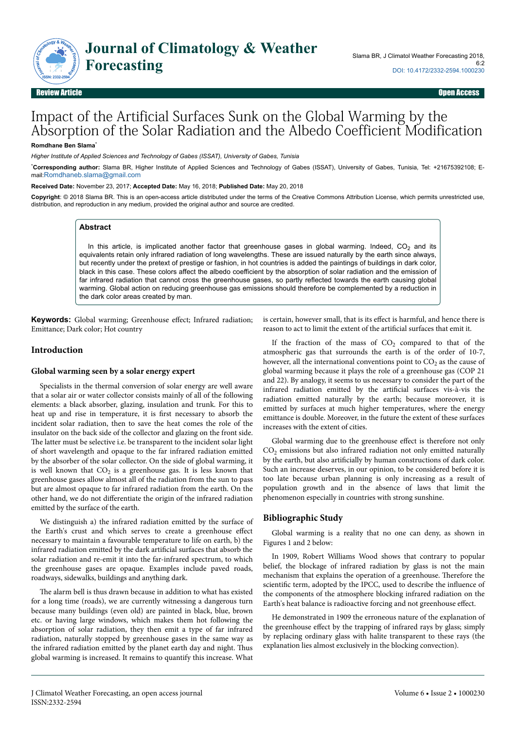

# Impact of the Artificial Surfaces Sunk on the Global Warming by the Absorption of the Solar Radiation and the Albedo Coefficient Modification

#### **Romdhane Ben Slama**\*

*Higher Institute of Applied Sciences and Technology of Gabes (ISSAT), University of Gabes, Tunisia*

\***Corresponding author:** Slama BR, Higher Institute of Applied Sciences and Technology of Gabes (ISSAT), University of Gabes, Tunisia, Tel: +21675392108; Email:[Romdhaneb.slama@gmail.com](mailto:Romdhaneb.slama@gmail.com)

**Received Date:** November 23, 2017; **Accepted Date:** May 16, 2018; **Published Date:** May 20, 2018

**Copyright**: © 2018 Slama BR. This is an open-access article distributed under the terms of the Creative Commons Attribution License, which permits unrestricted use, distribution, and reproduction in any medium, provided the original author and source are credited.

#### **Abstract**

In this article, is implicated another factor that greenhouse gases in global warming. Indeed,  $CO<sub>2</sub>$  and its equivalents retain only infrared radiation of long wavelengths. These are issued naturally by the earth since always, but recently under the pretext of prestige or fashion, in hot countries is added the paintings of buildings in dark color, black in this case. These colors affect the albedo coefficient by the absorption of solar radiation and the emission of far infrared radiation that cannot cross the greenhouse gases, so partly reflected towards the earth causing global warming. Global action on reducing greenhouse gas emissions should therefore be complemented by a reduction in the dark color areas created by man.

Keywords: Global warming; Greenhouse effect; Infrared radiation; Emittance; Dark color; Hot country

#### **Introduction**

#### **Global warming seen by a solar energy expert**

Specialists in the thermal conversion of solar energy are well aware that a solar air or water collector consists mainly of all of the following elements: a black absorber, glazing, insulation and trunk. For this to heat up and rise in temperature, it is first necessary to absorb the incident solar radiation, then to save the heat comes the role of the insulator on the back side of the collector and glazing on the front side. The latter must be selective i.e. be transparent to the incident solar light of short wavelength and opaque to the far infrared radiation emitted by the absorber of the solar collector. On the side of global warming, it is well known that  $CO_2$  is a greenhouse gas. It is less known that greenhouse gases allow almost all of the radiation from the sun to pass but are almost opaque to far infrared radiation from the earth. On the other hand, we do not differentiate the origin of the infrared radiation emitted by the surface of the earth.

We distinguish a) the infrared radiation emitted by the surface of the Earth's crust and which serves to create a greenhouse effect necessary to maintain a favourable temperature to life on earth, b) the infrared radiation emitted by the dark artificial surfaces that absorb the solar radiation and re-emit it into the far-infrared spectrum, to which the greenhouse gases are opaque. Examples include paved roads, roadways, sidewalks, buildings and anything dark.

The alarm bell is thus drawn because in addition to what has existed for a long time (roads), we are currently witnessing a dangerous turn because many buildings (even old) are painted in black, blue, brown etc. or having large windows, which makes them hot following the absorption of solar radiation, they then emit a type of far infrared radiation, naturally stopped by greenhouse gases in the same way as the infrared radiation emitted by the planet earth day and night. Нus global warming is increased. It remains to quantify this increase. What

is certain, however small, that is its effect is harmful, and hence there is reason to act to limit the extent of the artificial surfaces that emit it.

If the fraction of the mass of  $CO<sub>2</sub>$  compared to that of the atmospheric gas that surrounds the earth is of the order of 10-7, however, all the international conventions point to  $CO<sub>2</sub>$  as the cause of global warming because it plays the role of a greenhouse gas (COP 21 and 22). By analogy, it seems to us necessary to consider the part of the infrared radiation emitted by the artificial surfaces vis-à-vis the radiation emitted naturally by the earth; because moreover, it is emitted by surfaces at much higher temperatures, where the energy emittance is double. Moreover, in the future the extent of these surfaces increases with the extent of cities.

Global warming due to the greenhouse effect is therefore not only  $CO<sub>2</sub>$  emissions but also infrared radiation not only emitted naturally by the earth, but also artificially by human constructions of dark color. Such an increase deserves, in our opinion, to be considered before it is too late because urban planning is only increasing as a result of population growth and in the absence of laws that limit the phenomenon especially in countries with strong sunshine.

### **Bibliographic Study**

Global warming is a reality that no one can deny, as shown in Figures 1 and 2 below:

In 1909, Robert Williams Wood shows that contrary to popular belief, the blockage of infrared radiation by glass is not the main mechanism that explains the operation of a greenhouse. Нerefore the scientific term, adopted by the IPCC, used to describe the influence of the components of the atmosphere blocking infrared radiation on the Earth's heat balance is radioactive forcing and not greenhouse effect.

He demonstrated in 1909 the erroneous nature of the explanation of the greenhouse effect by the trapping of infrared rays by glass; simply by replacing ordinary glass with halite transparent to these rays (the explanation lies almost exclusively in the blocking convection).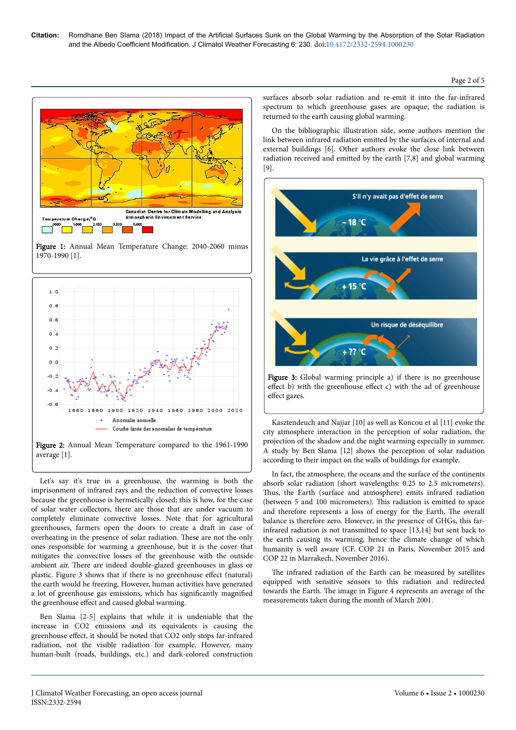Page 2 of 5



Figure 1: Annual Mean Temperature Change: 2040-2060 minus 1970-1990 [1].



Let's say it's true in a greenhouse, the warming is both the imprisonment of infrared rays and the reduction of convective losses because the greenhouse is hermetically closed; this is how, for the case of solar water collectors, there are those that are under vacuum to completely eliminate convective losses. Note that for agricultural greenhouses, farmers open the doors to create a draft in case of overheating in the presence of solar radiation. Нese are not the only ones responsible for warming a greenhouse, but it is the cover that mitigates the convective losses of the greenhouse with the outside ambient air. Нere are indeed double-glazed greenhouses in glass or plastic. Figure 3 shows that if there is no greenhouse effect (natural) the earth would be freezing. However, human activities have generated a lot of greenhouse gas emissions, which has significantly magnified the greenhouse effect and caused global warming.

Ben Slama [2-5] explains that while it is undeniable that the increase in CO2 emissions and its equivalents is causing the greenhouse effect, it should be noted that CO2 only stops far-infrared radiation, not the visible radiation for example. However, many human-built (roads, buildings, etc.) and dark-colored construction surfaces absorb solar radiation and re-emit it into the far-infrared spectrum to which greenhouse gases are opaque; the radiation is returned to the earth causing global warming.

On the bibliographic illustration side, some authors mention the link between infrared radiation emitted by the surfaces of internal and external buildings [6]. Other authors evoke the close link between radiation received and emitted by the earth [7,8] and global warming [9].





Kasztendeuch and Najjar [10] as well as Koncou et al [11] evoke the city atmosphere interaction in the perception of solar radiation, the projection of the shadow and the night warming especially in summer. A study by Ben Slama [12] shows the perception of solar radiation according to their impact on the walls of buildings for example.

In fact, the atmosphere, the oceans and the surface of the continents absorb solar radiation (short wavelengths: 0.25 to 2.5 micrometers). Thus, the Earth (surface and atmosphere) emits infrared radiation (between 5 and 100 micrometers). Нis radiation is emitted to space and therefore represents a loss of energy for the Earth. Нe overall balance is therefore zero. However, in the presence of GHGs, this farinfrared radiation is not transmitted to space [13,14] but sent back to the earth causing its warming, hence the climate change of which humanity is well aware (CF. COP 21 in Paris, November 2015 and COP 22 in Marrakech, November 2016).

The infrared radiation of the Earth can be measured by satellites equipped with sensitive sensors to this radiation and redirected towards the Earth. Нe image in Figure 4 represents an average of the measurements taken during the month of March 2001.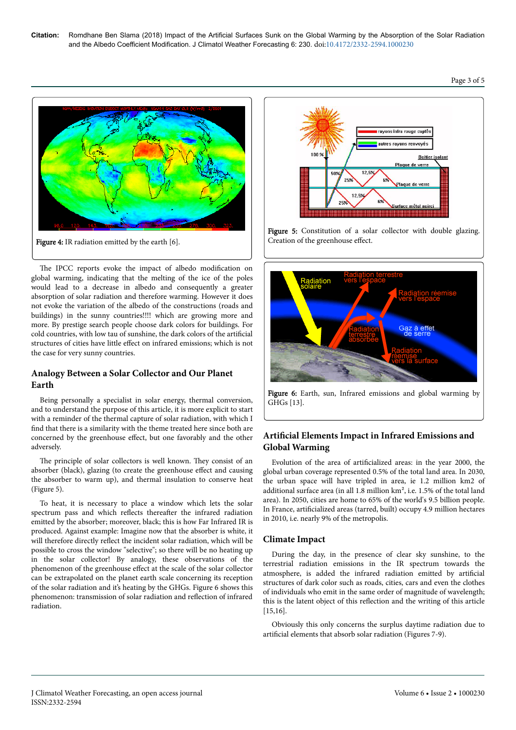

The IPCC reports evoke the impact of albedo modification on global warming, indicating that the melting of the ice of the poles would lead to a decrease in albedo and consequently a greater absorption of solar radiation and therefore warming. However it does not evoke the variation of the albedo of the constructions (roads and buildings) in the sunny countries!!!! which are growing more and more. By prestige search people choose dark colors for buildings. For cold countries, with low tau of sunshine, the dark colors of the artificial structures of cities have little effect on infrared emissions; which is not the case for very sunny countries.

# **Analogy Between a Solar Collector and Our Planet Earth**

Being personally a specialist in solar energy, thermal conversion, and to understand the purpose of this article, it is more explicit to start with a reminder of the thermal capture of solar radiation, with which I find that there is a similarity with the theme treated here since both are concerned by the greenhouse effect, but one favorably and the other adversely.

The principle of solar collectors is well known. They consist of an absorber (black), glazing (to create the greenhouse effect and causing the absorber to warm up), and thermal insulation to conserve heat (Figure 5).

To heat, it is necessary to place a window which lets the solar spectrum pass and which reflects thereafter the infrared radiation emitted by the absorber; moreover, black; this is how Far Infrared IR is produced. Against example: Imagine now that the absorber is white, it will therefore directly reflect the incident solar radiation, which will be possible to cross the window "selective"; so there will be no heating up in the solar collector! By analogy, these observations of the phenomenon of the greenhouse effect at the scale of the solar collector can be extrapolated on the planet earth scale concerning its reception of the solar radiation and it's heating by the GHGs. Figure 6 shows this phenomenon: transmission of solar radiation and reflection of infrared radiation.



Figure 5: Constitution of a solar collector with double glazing. Creation of the greenhouse effect.



Figure 6: Earth, sun, Infrared emissions and global warming by GHGs [13].

# Artificial Elements Impact in Infrared Emissions and **Global Warming**

Evolution of the area of artificialized areas: in the year 2000, the global urban coverage represented 0.5% of the total land area. In 2030, the urban space will have tripled in area, ie 1.2 million km2 of additional surface area (in all 1.8 million km², i.e. 1.5% of the total land area). In 2050, cities are home to 65% of the world's 9.5 billion people. In France, artificialized areas (tarred, built) occupy 4.9 million hectares in 2010, i.e. nearly 9% of the metropolis.

# **Climate Impact**

During the day, in the presence of clear sky sunshine, to the terrestrial radiation emissions in the IR spectrum towards the atmosphere, is added the infrared radiation emitted by artificial structures of dark color such as roads, cities, cars and even the clothes of individuals who emit in the same order of magnitude of wavelength; this is the latent object of this reflection and the writing of this article [15,16].

Obviously this only concerns the surplus daytime radiation due to artificial elements that absorb solar radiation (Figures 7-9).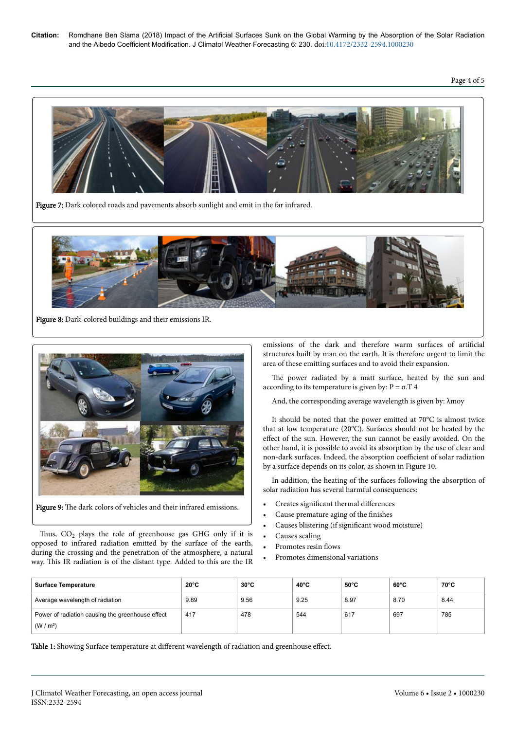# Page 4 of 5



Figure 7: Dark colored roads and pavements absorb sunlight and emit in the far infrared.



Figure 8: Dark-colored buildings and their emissions IR.



Figure 9: The dark colors of vehicles and their infrared emissions.

Thus,  $CO_2$  plays the role of greenhouse gas GHG only if it is opposed to infrared radiation emitted by the surface of the earth, during the crossing and the penetration of the atmosphere, a natural way. Нis IR radiation is of the distant type. Added to this are the IR

emissions of the dark and therefore warm surfaces of artificial structures built by man on the earth. It is therefore urgent to limit the area of these emitting surfaces and to avoid their expansion.

The power radiated by a matt surface, heated by the sun and according to its temperature is given by:  $P = \sigma$ . T 4

And, the corresponding average wavelength is given by: λmoy

It should be noted that the power emitted at 70°C is almost twice that at low temperature (20°C). Surfaces should not be heated by the effect of the sun. However, the sun cannot be easily avoided. On the other hand, it is possible to avoid its absorption by the use of clear and non-dark surfaces. Indeed, the absorption coefficient of solar radiation by a surface depends on its color, as shown in Figure 10.

In addition, the heating of the surfaces following the absorption of solar radiation has several harmful consequences:

- Creates significant thermal differences
- Cause premature aging of the finishes
- Causes blistering (if significant wood moisture)
- Causes scaling
- Promotes resin flows
- Promotes dimensional variations

| <b>Surface Temperature</b>                                              | $20^{\circ}$ C | $30^{\circ}$ C | $40^{\circ}$ C | $50^{\circ}$ C | $60^{\circ}$ C | $70^{\circ}$ C |
|-------------------------------------------------------------------------|----------------|----------------|----------------|----------------|----------------|----------------|
| Average wavelength of radiation                                         | 9.89           | 9.56           | 9.25           | 8.97           | 8.70           | 8.44           |
| Power of radiation causing the greenhouse effect<br>(W/m <sup>2</sup> ) | 417            | 478            | 544            | 617            | 697            | 785            |

Table 1: Showing Surface temperature at different wavelength of radiation and greenhouse effect.